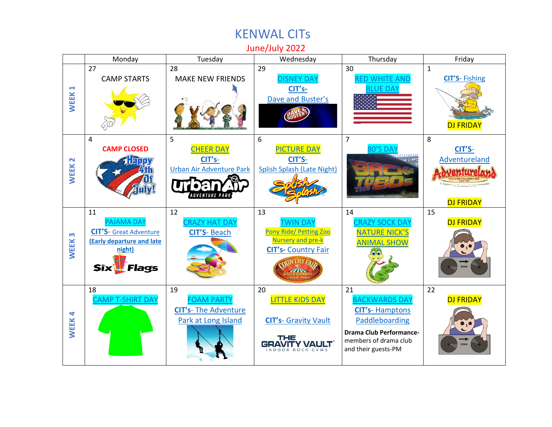## June/July 2022 Monday | Tuesday | Wednesday | Thursday | Friday 28 30 27 29 1 [DISNEY DAY](https://www.kenwaldaycamp.com/wp-content/uploads/2022/04/Disney-spirit-day.docx.pdf) [RED WHITE AND](https://www.kenwaldaycamp.com/wp-content/uploads/2022/04/red-white-and-blue-spirit-day.docx.pdf)  **CIT'S**- [Fishing](https://www.kenwaldaycamp.com/wp-content/uploads/2022/04/TC-Fish-7-1-22.pdf) CAMP STARTS MAKE NEW FRIENDS **C[IT's](https://www.kenwaldaycamp.com/wp-content/uploads/2022/04/TC-DB-6-29-22.pdf)-[BLUE DAY](https://www.kenwaldaycamp.com/wp-content/uploads/2022/04/red-white-and-blue-spirit-day.docx.pdf) WEEK 1** [Dave and](https://www.kenwaldaycamp.com/wp-content/uploads/2022/04/TC-DB-6-29-22.pdf) Buster's DJ FRIDAY 5 6 7 8 4 **CAMP CLOSED** [CHEER DAY](https://www.kenwaldaycamp.com/wp-content/uploads/2022/04/Cheer-Day.pdf) [PICTURE DAY](https://www.kenwaldaycamp.com/wp-content/uploads/2022/04/Picture-day.pdf)  $0'$ S DA' **[CIT'S](https://www.kenwaldaycamp.com/wp-content/uploads/2022/04/TC-Aland-8-8.pdf)**-**[CIT's](https://www.kenwaldaycamp.com/wp-content/uploads/2022/04/TC-UA-7-5-22.pdf)**-**[CIT'S](https://www.kenwaldaycamp.com/wp-content/uploads/2022/04/TC-SS-7-6-22.pdf)**-[Adventureland](https://www.kenwaldaycamp.com/wp-content/uploads/2022/04/TC-Aland-8-8.pdf) **WEEK 2** [Urban Air Adventure Park](https://www.kenwaldaycamp.com/wp-content/uploads/2022/04/TC-UA-7-5-22.pdf) [Splish Splash](https://www.kenwaldaycamp.com/wp-content/uploads/2022/04/TC-SS-7-6-22.pdf) (Late Night) **ADVENTURE PARK** DJ FRIDAY 11 12 13 14 15 [PAJAMA DAY](https://www.kenwaldaycamp.com/wp-content/uploads/2022/04/Pajama-spirit-day.pdf) [CRAZY HAT DAY](https://www.kenwaldaycamp.com/wp-content/uploads/2022/04/Crazy-Hat-Spirit-Day.pdf) [TWIN DAY](https://www.kenwaldaycamp.com/wp-content/uploads/2022/04/Twin-Spirit-Day.docx.pdf) [CRAZY SOCK DAY](https://www.kenwaldaycamp.com/wp-content/uploads/2022/04/Crazy-Sock-Spirit-Day.pdf) DJ FRIDAY Pony Ride/ [Petting Zoo](https://www.kenwaldaycamp.com/wp-content/uploads/2022/04/Pony-ride-and-petting-zoo.docx.pdf) **C[IT'S](https://creativecommons.org/licenses/by-nd/3.0/)**- [Great Adventure](https://www.kenwaldaycamp.com/wp-content/uploads/2022/04/TC-GA-7-11-22.pdf)  **CIT'S**- [Beach](https://www.kenwaldaycamp.com/wp-content/uploads/2022/04/TC-BCH-7-12-22.pdf) [NATURE NICK'S](https://www.kenwaldaycamp.com/wp-content/uploads/2022/04/Nature-Nick.docx.pdf) **WEEK 3 [\(Early departure and late](https://www.kenwaldaycamp.com/wp-content/uploads/2022/04/TC-GA-7-11-22.pdf)**  [Nursery and pre-k](https://www.kenwaldaycamp.com/wp-content/uploads/2022/04/Pony-ride-and-petting-zoo.docx.pdf) [ANIMAL SHOW](https://www.kenwaldaycamp.com/wp-content/uploads/2022/04/Nature-Nick.docx.pdf) **CIT's-** [Country Fair](https://www.kenwaldaycamp.com/wp-content/uploads/2022/04/TC-CF-7-13-22.pdf) **[night\)](https://www.kenwaldaycamp.com/wp-content/uploads/2022/04/TC-GA-7-11-22.pdf) THY Six** *ll Flags*  $\sqrt{N}$ 18 19 20 21 22 [CAMP T-SHIRT DAY](https://www.kenwaldaycamp.com/wp-content/uploads/2022/04/Camp-T-Shirt-Spirit-Day.docx.pdf) [FOAM PARTY](https://www.kenwaldaycamp.com/wp-content/uploads/2022/04/Foam-party.docx.pdf) [LITTLE KIDS DAY](https://www.kenwaldaycamp.com/wp-content/uploads/2022/04/Little-kids-day.docx.pdf) [BACKWARDS DAY](https://www.kenwaldaycamp.com/wp-content/uploads/2022/04/Backwards-Spirit-Day.docx.pdf) DJ FRIDAY **CIT's**- [The Adventure](https://www.kenwaldaycamp.com/wp-content/uploads/2022/04/TC-AdvPk-7-19-22.pdf)  **CIT's**- [Hamptons](https://www.kenwaldaycamp.com/wp-content/uploads/2022/04/CIT-HPB.pdf)  **WEEK 4** [Park at Long Island](https://www.kenwaldaycamp.com/wp-content/uploads/2022/04/TC-AdvPk-7-19-22.pdf) [Paddleboarding](https://www.kenwaldaycamp.com/wp-content/uploads/2022/04/CIT-HPB.pdf) **CIT's**- [Gravity Vault](https://www.kenwaldaycamp.com/wp-content/uploads/2022/04/CIT-GV-7-20-226458.pdf) **Drama Club Performance-**THE members of drama club **GRAVITY VAULT** and their guests-PM

## KENWAL CITs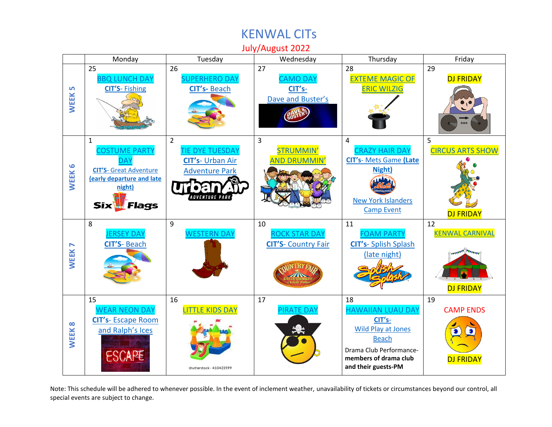## KENWAL CITs

July/August 2022



Note: This schedule will be adhered to whenever possible. In the event of inclement weather, unavailability of tickets or circumstances beyond our control, all special events are subject to change.